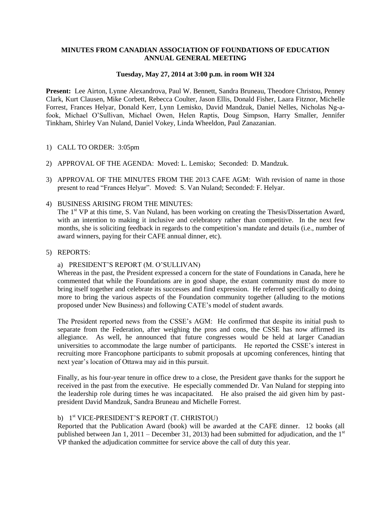### **MINUTES FROM CANADIAN ASSOCIATION OF FOUNDATIONS OF EDUCATION ANNUAL GENERAL MEETING**

#### **Tuesday, May 27, 2014 at 3:00 p.m. in room WH 324**

**Present:** Lee Airton, Lynne Alexandrova, Paul W. Bennett, Sandra Bruneau, Theodore Christou, Penney Clark, Kurt Clausen, Mike Corbett, Rebecca Coulter, Jason Ellis, Donald Fisher, Laara Fitznor, Michelle Forrest, Frances Helyar, Donald Kerr, Lynn Lemisko, David Mandzuk, Daniel Nelles, Nicholas Ng-afook, Michael O'Sullivan, Michael Owen, Helen Raptis, Doug Simpson, Harry Smaller, Jennifer Tinkham, Shirley Van Nuland, Daniel Vokey, Linda Wheeldon, Paul Zanazanian.

#### 1) CALL TO ORDER: 3:05pm

- 2) APPROVAL OF THE AGENDA: Moved: L. Lemisko; Seconded: D. Mandzuk.
- 3) APPROVAL OF THE MINUTES FROM THE 2013 CAFE AGM: With revision of name in those present to read "Frances Helyar". Moved: S. Van Nuland; Seconded: F. Helyar.
- 4) BUSINESS ARISING FROM THE MINUTES:

The 1<sup>st</sup> VP at this time, S. Van Nuland, has been working on creating the Thesis/Dissertation Award, with an intention to making it inclusive and celebratory rather than competitive. In the next few months, she is soliciting feedback in regards to the competition's mandate and details (i.e., number of award winners, paying for their CAFE annual dinner, etc).

5) REPORTS:

#### a) PRESIDENT'S REPORT (M. O'SULLIVAN)

Whereas in the past, the President expressed a concern for the state of Foundations in Canada, here he commented that while the Foundations are in good shape, the extant community must do more to bring itself together and celebrate its successes and find expression. He referred specifically to doing more to bring the various aspects of the Foundation community together (alluding to the motions proposed under New Business) and following CATE's model of student awards.

The President reported news from the CSSE's AGM: He confirmed that despite its initial push to separate from the Federation, after weighing the pros and cons, the CSSE has now affirmed its allegiance. As well, he announced that future congresses would be held at larger Canadian universities to accommodate the large number of participants. He reported the CSSE's interest in recruiting more Francophone participants to submit proposals at upcoming conferences, hinting that next year's location of Ottawa may aid in this pursuit.

Finally, as his four-year tenure in office drew to a close, the President gave thanks for the support he received in the past from the executive. He especially commended Dr. Van Nuland for stepping into the leadership role during times he was incapacitated. He also praised the aid given him by pastpresident David Mandzuk, Sandra Bruneau and Michelle Forrest.

## b) 1 st VICE-PRESIDENT'S REPORT (T. CHRISTOU)

Reported that the Publication Award (book) will be awarded at the CAFE dinner. 12 books (all published between Jan 1, 2011 – December 31, 2013) had been submitted for adjudication, and the  $1<sup>st</sup>$ VP thanked the adjudication committee for service above the call of duty this year.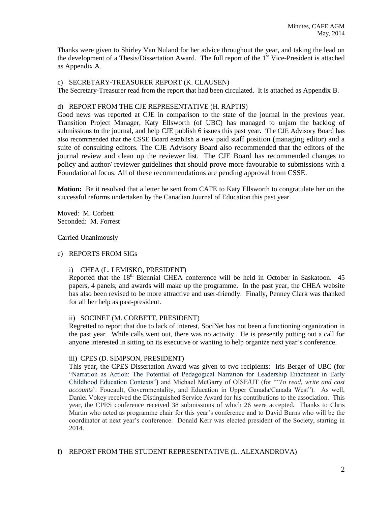Thanks were given to Shirley Van Nuland for her advice throughout the year, and taking the lead on the development of a Thesis/Dissertation Award. The full report of the  $1<sup>st</sup>$  Vice-President is attached as Appendix A.

#### c) SECRETARY-TREASURER REPORT (K. CLAUSEN)

The Secretary-Treasurer read from the report that had been circulated. It is attached as Appendix B.

### d) REPORT FROM THE CJE REPRESENTATIVE (H. RAPTIS)

Good news was reported at CJE in comparison to the state of the journal in the previous year. Transition Project Manager, Katy Ellsworth (of UBC) has managed to unjam the backlog of submissions to the journal, and help CJE publish 6 issues this past year. The CJE Advisory Board has also recommended that the CSSE Board establish a new paid staff position (managing editor) and a suite of consulting editors. The CJE Advisory Board also recommended that the editors of the journal review and clean up the reviewer list. The CJE Board has recommended changes to policy and author/ reviewer guidelines that should prove more favourable to submissions with a Foundational focus. All of these recommendations are pending approval from CSSE.

**Motion:** Be it resolved that a letter be sent from CAFE to Katy Ellsworth to congratulate her on the successful reforms undertaken by the Canadian Journal of Education this past year.

Moved: M. Corbett Seconded: M. Forrest

Carried Unanimously

#### e) REPORTS FROM SIGs

### i) CHEA (L. LEMISKO, PRESIDENT)

Reported that the 18<sup>th</sup> Biennial CHEA conference will be held in October in Saskatoon. 45 papers, 4 panels, and awards will make up the programme. In the past year, the CHEA website has also been revised to be more attractive and user-friendly. Finally, Penney Clark was thanked for all her help as past-president.

### ii) SOCINET (M. CORBETT, PRESIDENT)

Regretted to report that due to lack of interest, SociNet has not been a functioning organization in the past year. While calls went out, there was no activity. He is presently putting out a call for anyone interested in sitting on its executive or wanting to help organize next year's conference.

#### iii) CPES (D. SIMPSON, PRESIDENT)

This year, the CPES Dissertation Award was given to two recipients: Iris Berger of UBC (for ["Narration as Action: The Potential of Pedagogical Narration for Leadership Enactment in Early](http://edst.educ.ubc.ca/files/2013/10/Berger-Programme-2.pdf)  [Childhood Education Contexts"](http://edst.educ.ubc.ca/files/2013/10/Berger-Programme-2.pdf)**)** and Michael McGarry of OISE/UT (for "'*To read, write and cast accounts*': Foucault, Governmentality, and Education in Upper Canada/Canada West"). As well, Daniel Vokey received the Distinguished Service Award for his contributions to the association. This year, the CPES conference received 38 submissions of which 26 were accepted. Thanks to Chris Martin who acted as programme chair for this year's conference and to David Burns who will be the coordinator at next year's conference. Donald Kerr was elected president of the Society, starting in 2014.

### f) REPORT FROM THE STUDENT REPRESENTATIVE (L. ALEXANDROVA)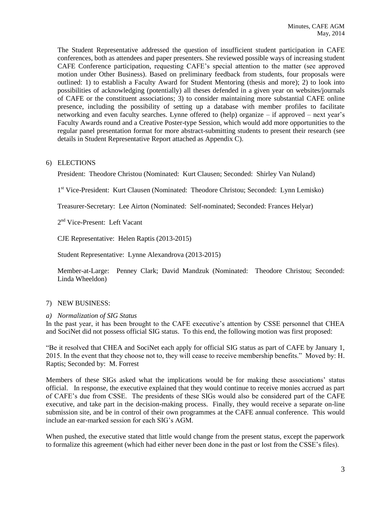The Student Representative addressed the question of insufficient student participation in CAFE conferences, both as attendees and paper presenters. She reviewed possible ways of increasing student CAFE Conference participation, requesting CAFE's special attention to the matter (see approved motion under Other Business). Based on preliminary feedback from students, four proposals were outlined: 1) to establish a Faculty Award for Student Mentoring (thesis and more); 2) to look into possibilities of acknowledging (potentially) all theses defended in a given year on websites/journals of CAFE or the constituent associations; 3) to consider maintaining more substantial CAFE online presence, including the possibility of setting up a database with member profiles to facilitate networking and even faculty searches. Lynne offered to (help) organize – if approved – next year's Faculty Awards round and a Creative Poster-type Session, which would add more opportunities to the regular panel presentation format for more abstract-submitting students to present their research (see details in Student Representative Report attached as Appendix C).

## 6) ELECTIONS

President: Theodore Christou (Nominated: Kurt Clausen; Seconded: Shirley Van Nuland)

1<sup>st</sup> Vice-President: Kurt Clausen (Nominated: Theodore Christou; Seconded: Lynn Lemisko)

Treasurer-Secretary: Lee Airton (Nominated: Self-nominated; Seconded: Frances Helyar)

2<sup>nd</sup> Vice-Present: Left Vacant

CJE Representative: Helen Raptis (2013-2015)

Student Representative: Lynne Alexandrova (2013-2015)

Member-at-Large: Penney Clark; David Mandzuk (Nominated: Theodore Christou; Seconded: Linda Wheeldon)

### 7) NEW BUSINESS:

### *a) Normalization of SIG Status*

In the past year, it has been brought to the CAFE executive's attention by CSSE personnel that CHEA and SociNet did not possess official SIG status. To this end, the following motion was first proposed:

"Be it resolved that CHEA and SociNet each apply for official SIG status as part of CAFE by January 1, 2015. In the event that they choose not to, they will cease to receive membership benefits." Moved by: H. Raptis; Seconded by: M. Forrest

Members of these SIGs asked what the implications would be for making these associations' status official. In response, the executive explained that they would continue to receive monies accrued as part of CAFE's due from CSSE. The presidents of these SIGs would also be considered part of the CAFE executive, and take part in the decision-making process. Finally, they would receive a separate on-line submission site, and be in control of their own programmes at the CAFE annual conference. This would include an ear-marked session for each SIG's AGM.

When pushed, the executive stated that little would change from the present status, except the paperwork to formalize this agreement (which had either never been done in the past or lost from the CSSE's files).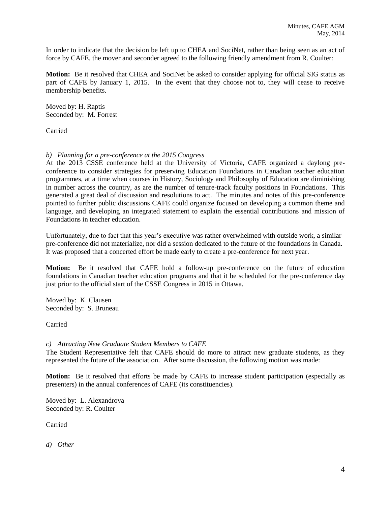In order to indicate that the decision be left up to CHEA and SociNet, rather than being seen as an act of force by CAFE, the mover and seconder agreed to the following friendly amendment from R. Coulter:

**Motion:** Be it resolved that CHEA and SociNet be asked to consider applying for official SIG status as part of CAFE by January 1, 2015. In the event that they choose not to, they will cease to receive membership benefits.

Moved by: H. Raptis Seconded by: M. Forrest

Carried

## *b) Planning for a pre-conference at the 2015 Congress*

At the 2013 CSSE conference held at the University of Victoria, CAFE organized a daylong preconference to consider strategies for preserving Education Foundations in Canadian teacher education programmes, at a time when courses in History, Sociology and Philosophy of Education are diminishing in number across the country, as are the number of tenure-track faculty positions in Foundations. This generated a great deal of discussion and resolutions to act. The minutes and notes of this pre-conference pointed to further public discussions CAFE could organize focused on developing a common theme and language, and developing an integrated statement to explain the essential contributions and mission of Foundations in teacher education.

Unfortunately, due to fact that this year's executive was rather overwhelmed with outside work, a similar pre-conference did not materialize, nor did a session dedicated to the future of the foundations in Canada. It was proposed that a concerted effort be made early to create a pre-conference for next year.

**Motion:** Be it resolved that CAFE hold a follow-up pre-conference on the future of education foundations in Canadian teacher education programs and that it be scheduled for the pre-conference day just prior to the official start of the CSSE Congress in 2015 in Ottawa.

Moved by: K. Clausen Seconded by: S. Bruneau

Carried

## *c) Attracting New Graduate Student Members to CAFE*

The Student Representative felt that CAFE should do more to attract new graduate students, as they represented the future of the association. After some discussion, the following motion was made:

**Motion:** Be it resolved that efforts be made by CAFE to increase student participation (especially as presenters) in the annual conferences of CAFE (its constituencies).

Moved by: L. Alexandrova Seconded by: R. Coulter

Carried

*d) Other*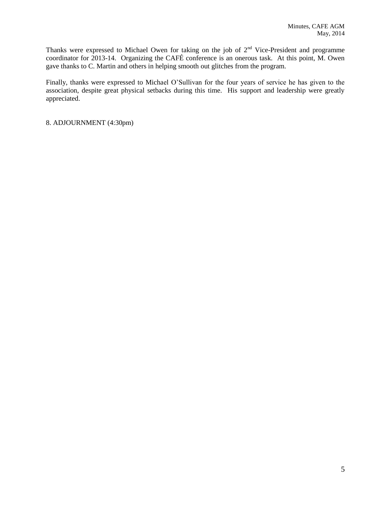Thanks were expressed to Michael Owen for taking on the job of  $2<sup>nd</sup>$  Vice-President and programme coordinator for 2013-14. Organizing the CAFÉ conference is an onerous task. At this point, M. Owen gave thanks to C. Martin and others in helping smooth out glitches from the program.

Finally, thanks were expressed to Michael O'Sullivan for the four years of service he has given to the association, despite great physical setbacks during this time. His support and leadership were greatly appreciated.

8. ADJOURNMENT (4:30pm)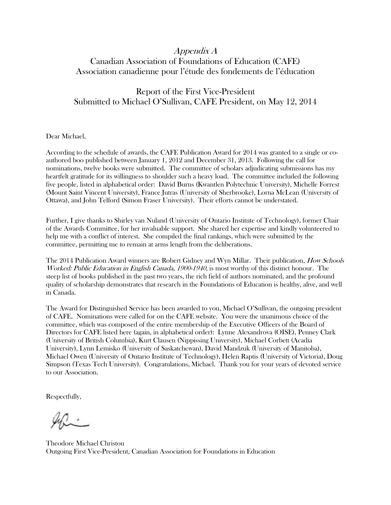# Appendix A Canadian Association of Foundations of Education (CAFE) Association canadienne pour l'étude des fondements de l'éducation

# Report of the First Vice-President Submitted to Michael O'Sullivan, CAFE President, on May 12, 2014

Dear Michael,

According to the schedule of awards, the CAFE Publication Award for 2014 was granted to a single or coauthored boo published between January 1, 2012 and December 31, 2013. Following the call for nominations, twelve books were submitted. The committee of scholars adjudicating submissions has my heartfelt gratitude for its willingness to shoulder such a heavy load. The committee included the following five people, listed in alphabetical order: David Burns (Kwantlen Polytechnic University), Michelle Forrest (Mount Saint Vincent University), France Jutras (University of Sherbrooke), Lorna McLean (University of Ottawa), and John Telford (Simon Fraser University). Their efforts cannot be understated.

Further, I give thanks to Shirley van Nuland (University of Ontario Institute of Technology), former Chair of the Awards Committee, for her invaluable support. She shared her expertise and kindly volunteered to help me with a conflict of interest. She compiled the final rankings, which were submitted by the committee, permitting me to remain at arms length from the deliberations.

The 2014 Publication Award winners are Robert Gidney and Wyn Millar. Their publication, *How Schools* Worked: Public Education in English Canada, 1900-1940, is most worthy of this distinct honour. The steep list of books published in the past two years, the rich field of authors nominated, and the profound quality of scholarship demonstrates that research in the Foundations of Education is healthy, alive, and well in Canada.

The Award for Distinguished Service has been awarded to you, Michael O'Sullivan, the outgoing president of CAFE. Nominations were called for on the CAFE website. You were the unanimous choice of the committee, which was composed of the entire membership of the Executive Officers of the Board of Directors for CAFE listed here (again, in alphabetical order): Lynne Alexandrova (OISE), Penney Clark (University of British Columbia), Kurt Clausen (Nippissing University), Michael Corbett (Acadia University), Lynn Lemisko (University of Saskatchewan), David Mandzuk (University of Manitoba), Michael Owen (University of Ontario Institute of Technology), Helen Raptis (University of Victoria), Doug Simpson (Texas Tech University). Congratulations, Michael. Thank you for your years of devoted service to our Association.

Respectfully,

Theodore Michael Christou Outgoing First Vice-President, Canadian Association for Foundations in Education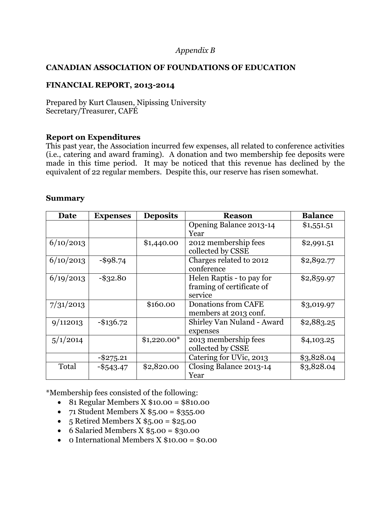# *Appendix B*

## **CANADIAN ASSOCIATION OF FOUNDATIONS OF EDUCATION**

# **FINANCIAL REPORT, 2013-2014**

Prepared by Kurt Clausen, Nipissing University Secretary/Treasurer, CAFÉ

## **Report on Expenditures**

This past year, the Association incurred few expenses, all related to conference activities (i.e., catering and award framing). A donation and two membership fee deposits were made in this time period. It may be noticed that this revenue has declined by the equivalent of 22 regular members. Despite this, our reserve has risen somewhat.

## **Summary**

| Date      | <b>Expenses</b> | <b>Deposits</b> | <b>Reason</b>                                                     | <b>Balance</b> |
|-----------|-----------------|-----------------|-------------------------------------------------------------------|----------------|
|           |                 |                 | Opening Balance 2013-14<br>Year                                   | \$1,551.51     |
| 6/10/2013 |                 | \$1,440.00      | 2012 membership fees<br>collected by CSSE                         | \$2,991.51     |
| 6/10/2013 | $-$ \$98.74     |                 | Charges related to 2012<br>conference                             | \$2,892.77     |
| 6/19/2013 | $-$ \$32.80     |                 | Helen Raptis - to pay for<br>framing of certificate of<br>service | \$2,859.97     |
| 7/31/2013 |                 | \$160.00        | Donations from CAFE<br>members at 2013 conf.                      | \$3,019.97     |
| 9/112013  | $-$ \$136.72    |                 | Shirley Van Nuland - Award<br>expenses                            | \$2,883.25     |
| 5/1/2014  |                 | $$1,220.00*$    | 2013 membership fees<br>collected by CSSE                         | \$4,103.25     |
|           | $-$ \$275.21    |                 | Catering for UVic, 2013                                           | \$3,828.04     |
| Total     | $-$ \$543.47    | \$2,820.00      | Closing Balance 2013-14<br>Year                                   | \$3,828.04     |

\*Membership fees consisted of the following:

- 81 Regular Members X  $$10.00 = $810.00$
- $71$  Student Members X  $$5.00 = $355.00$
- $\bullet$  5 Retired Members X \$5.00 = \$25.00
- 6 Salaried Members  $X $5.00 = $30.00$
- $\bullet$  0 International Members X \$10.00 = \$0.00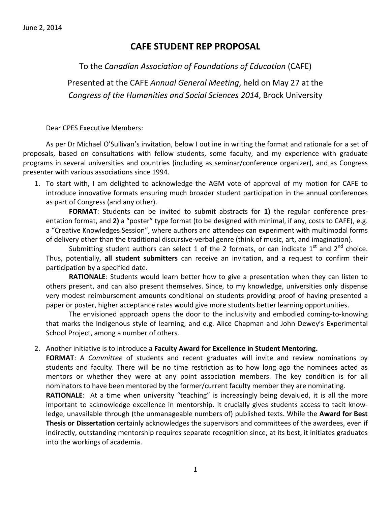# **CAFE STUDENT REP PROPOSAL**

To the *Canadian Association of Foundations of Education* (CAFE)

Presented at the CAFE *Annual General Meeting*, held on May 27 at the *Congress of the Humanities and Social Sciences 2014*, Brock University

Dear CPES Executive Members:

As per Dr Michael O'Sullivan's invitation, below I outline in writing the format and rationale for a set of proposals, based on consultations with fellow students, some faculty, and my experience with graduate programs in several universities and countries (including as seminar/conference organizer), and as Congress presenter with various associations since 1994.

1. To start with, I am delighted to acknowledge the AGM vote of approval of my motion for CAFE to introduce innovative formats ensuring much broader student participation in the annual conferences as part of Congress (and any other).

**FORMAT**: Students can be invited to submit abstracts for **1)** the regular conference presentation format, and **2)** a "poster" type format (to be designed with minimal, if any, costs to CAFE), e.g. a "Creative Knowledges Session", where authors and attendees can experiment with multimodal forms of delivery other than the traditional discursive-verbal genre (think of music, art, and imagination).

Submitting student authors can select 1 of the 2 formats, or can indicate  $1^{st}$  and  $2^{nd}$  choice. Thus, potentially, **all student submitters** can receive an invitation, and a request to confirm their participation by a specified date.

**RATIONALE**: Students would learn better how to give a presentation when they can listen to others present, and can also present themselves. Since, to my knowledge, universities only dispense very modest reimbursement amounts conditional on students providing proof of having presented a paper or poster, higher acceptance rates would give more students better learning opportunities.

The envisioned approach opens the door to the inclusivity and embodied coming-to-knowing that marks the Indigenous style of learning, and e.g. Alice Chapman and John Dewey's Experimental School Project, among a number of others.

## 2. Another initiative is to introduce a **Faculty Award for Excellence in Student Mentoring.**

**FORMAT**: A *Committee* of students and recent graduates will invite and review nominations by students and faculty. There will be no time restriction as to how long ago the nominees acted as mentors or whether they were at any point association members. The key condition is for all nominators to have been mentored by the former/current faculty member they are nominating.

**RATIONALE:** At a time when university "teaching" is increasingly being devalued, it is all the more important to acknowledge excellence in mentorship. It crucially gives students access to tacit knowledge, unavailable through (the unmanageable numbers of) published texts. While the **Award for Best Thesis or Dissertation** certainly acknowledges the supervisors and committees of the awardees, even if indirectly, outstanding mentorship requires separate recognition since, at its best, it initiates graduates into the workings of academia.